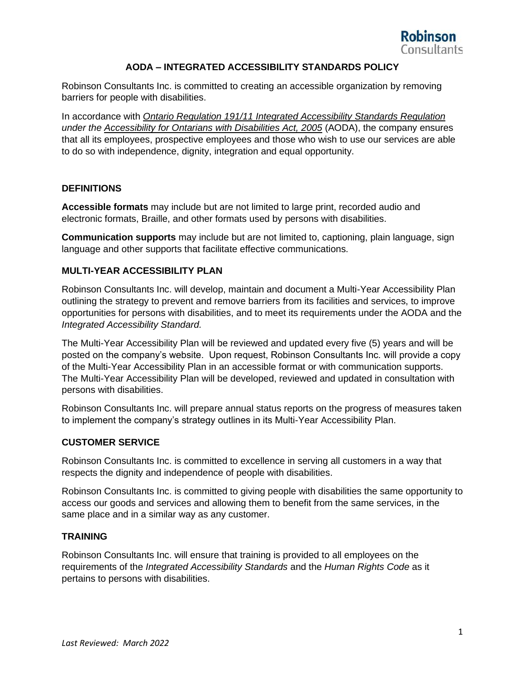

# **AODA – INTEGRATED ACCESSIBILITY STANDARDS POLICY**

Robinson Consultants Inc. is committed to creating an accessible organization by removing barriers for people with disabilities.

In accordance with *Ontario Regulation 191/11 Integrated Accessibility Standards Regulation under the Accessibility for Ontarians with Disabilities Act, 2005* (AODA), the company ensures that all its employees, prospective employees and those who wish to use our services are able to do so with independence, dignity, integration and equal opportunity.

### **DEFINITIONS**

**Accessible formats** may include but are not limited to large print, recorded audio and electronic formats, Braille, and other formats used by persons with disabilities.

**Communication supports** may include but are not limited to, captioning, plain language, sign language and other supports that facilitate effective communications.

# **MULTI-YEAR ACCESSIBILITY PLAN**

Robinson Consultants Inc. will develop, maintain and document a Multi-Year Accessibility Plan outlining the strategy to prevent and remove barriers from its facilities and services, to improve opportunities for persons with disabilities, and to meet its requirements under the AODA and the *Integrated Accessibility Standard.*

The Multi-Year Accessibility Plan will be reviewed and updated every five (5) years and will be posted on the company's website. Upon request, Robinson Consultants Inc. will provide a copy of the Multi-Year Accessibility Plan in an accessible format or with communication supports. The Multi-Year Accessibility Plan will be developed, reviewed and updated in consultation with persons with disabilities.

Robinson Consultants Inc. will prepare annual status reports on the progress of measures taken to implement the company's strategy outlines in its Multi-Year Accessibility Plan.

#### **CUSTOMER SERVICE**

Robinson Consultants Inc. is committed to excellence in serving all customers in a way that respects the dignity and independence of people with disabilities.

Robinson Consultants Inc. is committed to giving people with disabilities the same opportunity to access our goods and services and allowing them to benefit from the same services, in the same place and in a similar way as any customer.

#### **TRAINING**

Robinson Consultants Inc. will ensure that training is provided to all employees on the requirements of the *Integrated Accessibility Standards* and the *Human Rights Code* as it pertains to persons with disabilities.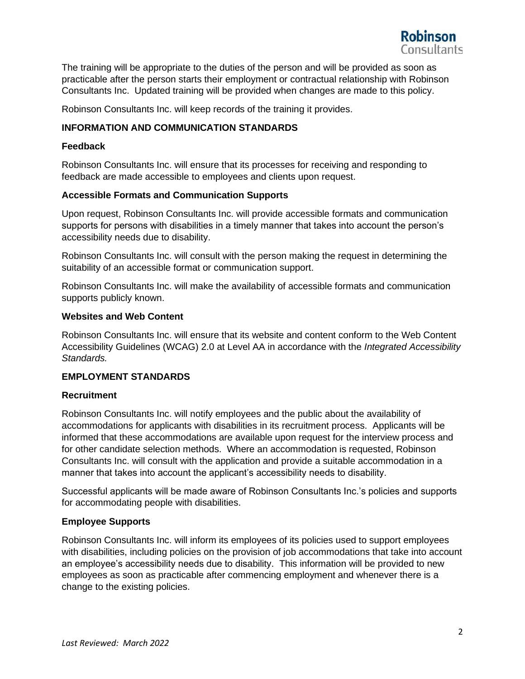

The training will be appropriate to the duties of the person and will be provided as soon as practicable after the person starts their employment or contractual relationship with Robinson Consultants Inc. Updated training will be provided when changes are made to this policy.

Robinson Consultants Inc. will keep records of the training it provides.

### **INFORMATION AND COMMUNICATION STANDARDS**

#### **Feedback**

Robinson Consultants Inc. will ensure that its processes for receiving and responding to feedback are made accessible to employees and clients upon request.

### **Accessible Formats and Communication Supports**

Upon request, Robinson Consultants Inc. will provide accessible formats and communication supports for persons with disabilities in a timely manner that takes into account the person's accessibility needs due to disability.

Robinson Consultants Inc. will consult with the person making the request in determining the suitability of an accessible format or communication support.

Robinson Consultants Inc. will make the availability of accessible formats and communication supports publicly known.

# **Websites and Web Content**

Robinson Consultants Inc. will ensure that its website and content conform to the Web Content Accessibility Guidelines (WCAG) 2.0 at Level AA in accordance with the *Integrated Accessibility Standards.* 

# **EMPLOYMENT STANDARDS**

#### **Recruitment**

Robinson Consultants Inc. will notify employees and the public about the availability of accommodations for applicants with disabilities in its recruitment process. Applicants will be informed that these accommodations are available upon request for the interview process and for other candidate selection methods. Where an accommodation is requested, Robinson Consultants Inc. will consult with the application and provide a suitable accommodation in a manner that takes into account the applicant's accessibility needs to disability.

Successful applicants will be made aware of Robinson Consultants Inc.'s policies and supports for accommodating people with disabilities.

# **Employee Supports**

Robinson Consultants Inc. will inform its employees of its policies used to support employees with disabilities, including policies on the provision of job accommodations that take into account an employee's accessibility needs due to disability. This information will be provided to new employees as soon as practicable after commencing employment and whenever there is a change to the existing policies.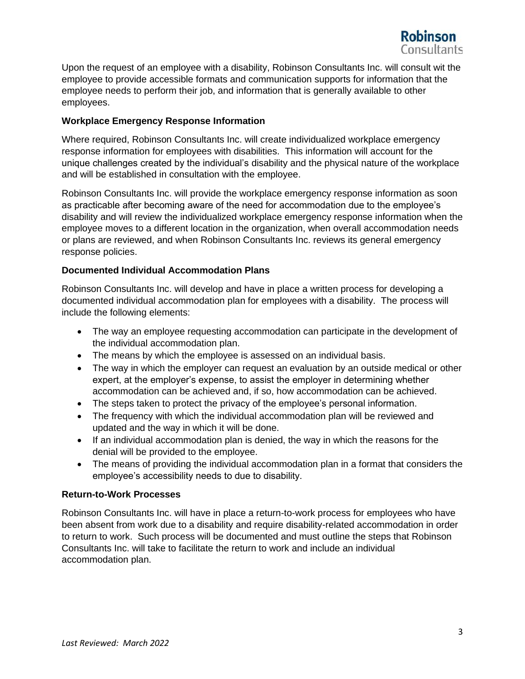

Upon the request of an employee with a disability, Robinson Consultants Inc. will consult wit the employee to provide accessible formats and communication supports for information that the employee needs to perform their job, and information that is generally available to other employees.

# **Workplace Emergency Response Information**

Where required, Robinson Consultants Inc. will create individualized workplace emergency response information for employees with disabilities. This information will account for the unique challenges created by the individual's disability and the physical nature of the workplace and will be established in consultation with the employee.

Robinson Consultants Inc. will provide the workplace emergency response information as soon as practicable after becoming aware of the need for accommodation due to the employee's disability and will review the individualized workplace emergency response information when the employee moves to a different location in the organization, when overall accommodation needs or plans are reviewed, and when Robinson Consultants Inc. reviews its general emergency response policies.

### **Documented Individual Accommodation Plans**

Robinson Consultants Inc. will develop and have in place a written process for developing a documented individual accommodation plan for employees with a disability. The process will include the following elements:

- The way an employee requesting accommodation can participate in the development of the individual accommodation plan.
- The means by which the employee is assessed on an individual basis.
- The way in which the employer can request an evaluation by an outside medical or other expert, at the employer's expense, to assist the employer in determining whether accommodation can be achieved and, if so, how accommodation can be achieved.
- The steps taken to protect the privacy of the employee's personal information.
- The frequency with which the individual accommodation plan will be reviewed and updated and the way in which it will be done.
- If an individual accommodation plan is denied, the way in which the reasons for the denial will be provided to the employee.
- The means of providing the individual accommodation plan in a format that considers the employee's accessibility needs to due to disability.

#### **Return-to-Work Processes**

Robinson Consultants Inc. will have in place a return-to-work process for employees who have been absent from work due to a disability and require disability-related accommodation in order to return to work. Such process will be documented and must outline the steps that Robinson Consultants Inc. will take to facilitate the return to work and include an individual accommodation plan.